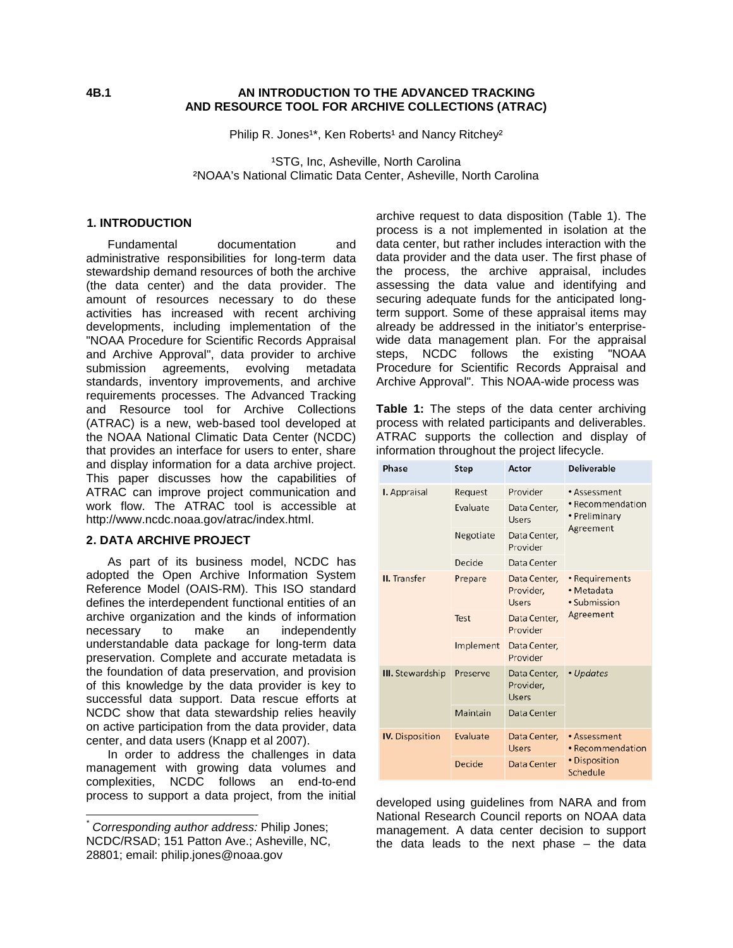## **4B.1 AN INTRODUCTION TO THE ADVANCED TRACKING AND RESOURCE TOOL FOR ARCHIVE COLLECTIONS (ATRAC)**

Philip R. Jones<sup>1\*</sup>, Ken Roberts<sup>1</sup> and Nancy Ritchey<sup>2</sup>

<sup>1</sup>STG, Inc, Asheville, North Carolina ²NOAA's National Climatic Data Center, Asheville, North Carolina

# **[1](#page-5-0) . INTRODUCTION**

Fundamental documentation and administrative responsibilities for long-term data stewardship demand resources of both the archive (the data center) and the data provider. The amount of resources necessary to do these activities has increased with recent archiving developments, including implementation of the "NOAA Procedure for Scientific Records Appraisal and Archive Approval", data provider to archive<br>submission agreements, evolving metadata submission agreements, standards, inventory improvements, and archive requirements processes. The Advanced Tracking and Resource tool for Archive Collections (ATRAC) is a new, web-based tool developed at the NOAA National Climatic Data Center (NCDC) that provides an interface for users to enter, share and display information for a data archive project. This paper discusses how the capabilities of ATRAC can improve project communication and work flow. The ATRAC tool is accessible at http://www.ncdc.noaa.gov/atrac/index.html.

### **2. DATA ARCHIVE PROJEC[T](#page-0-0)**

As part of its business model, NCDC has adopted the Open Archive Information System Reference Model (OAIS-RM). This ISO standard defines the interdependent functional entities of an archive organization and the kinds of information necessary to make an independently understandable data package for long-term data preservation. Complete and accurate metadata is the foundation of data preservation, and provision of this knowledge by the data provider is key to successful data support. Data rescue efforts at NCDC show that data stewardship relies heavily on active participation from the data provider, data center, and data users (Knapp et al 2007).

In order to address the challenges in data management with growing data volumes and complexities, NCDC follows an end-to-end process to support a data project, from the initial

archive request to data disposition (Table 1). The process is a not implemented in isolation at the data center, but rather includes interaction with the data provider and the data user. The first phase of the process, the archive appraisal, includes assessing the data value and identifying and securing adequate funds for the anticipated longterm support. Some of these appraisal items may already be addressed in the initiator's enterprisewide data management plan. For the appraisal steps, NCDC follows the existing "NOAA Procedure for Scientific Records Appraisal and Archive Approval". This NOAA-wide process was

**Table 1:** The steps of the data center archiving process with related participants and deliverables. ATRAC supports the collection and display of information throughout the project lifecycle.

| Phase                   | <b>Step</b> | Actor                                     | <b>Deliverable</b>                           |  |
|-------------------------|-------------|-------------------------------------------|----------------------------------------------|--|
| <b>I.</b> Appraisal     | Request     | Provider                                  | • Assessment                                 |  |
|                         | Evaluate    | Data Center,<br>Users                     | • Recommendation<br>• Preliminary            |  |
|                         | Negotiate   | Data Center,<br>Provider                  | Agreement                                    |  |
|                         | Decide      | Data Center                               |                                              |  |
| <b>II.</b> Transfer     | Prepare     | Data Center,<br>Provider,<br>Users        | • Requirements<br>• Metadata<br>• Submission |  |
|                         | Test        | Data Center,<br>Provider                  | Agreement                                    |  |
|                         | Implement   | Data Center,<br>Provider                  |                                              |  |
| <b>III.</b> Stewardship | Preserve    | Data Center,<br>Provider,<br><b>Users</b> | • Updates                                    |  |
|                         | Maintain    | Data Center                               |                                              |  |
| <b>IV.</b> Disposition  | Evaluate    | Data Center,<br>Users                     | • Assessment<br>• Recommendation             |  |
|                         | Decide      | Data Center                               | • Disposition<br>Schedule                    |  |

developed using guidelines from NARA and from National Research Council reports on NOAA data management. A data center decision to support the data leads to the next phase – the data

<span id="page-0-0"></span>*\* Corresponding author address:* Philip Jones; NCDC/RSAD; 151 Patton Ave.; Asheville, NC, 28801; email: philip.jones@noaa.gov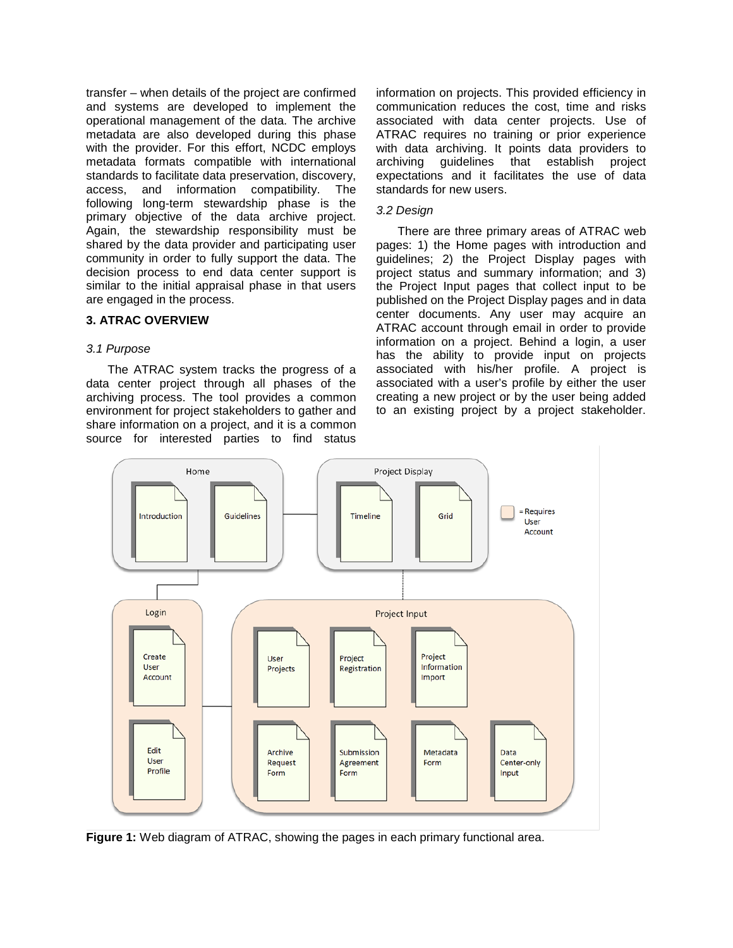transfer – when details of the project are confirmed and systems are developed to implement the operational management of the data. The archive metadata are also developed during this phase with the provider. For this effort, NCDC employs metadata formats compatible with international standards to facilitate data preservation, discovery, access, and information compatibility. The following long-term stewardship phase is the primary objective of the data archive project. Again, the stewardship responsibility must be shared by the data provider and participating user community in order to fully support the data. The decision process to end data center support is similar to the initial appraisal phase in that users are engaged in the process.

### **3. ATRAC OVERVIEW**

#### *3.1 Purpose*

The ATRAC system tracks the progress of a data center project through all phases of the archiving process. The tool provides a common environment for project stakeholders to gather and share information on a project, and it is a common source for interested parties to find status

information on projects. This provided efficiency in communication reduces the cost, time and risks associated with data center projects. Use of ATRAC requires no training or prior experience with data archiving. It points data providers to archiving guidelines that establish project expectations and it facilitates the use of data standards for new users.

#### *3.2 Design*

There are three primary areas of ATRAC web pages: 1) the Home pages with introduction and guidelines; 2) the Project Display pages with project status and summary information; and 3) the Project Input pages that collect input to be published on the Project Display pages and in data center documents. Any user may acquire an ATRAC account through email in order to provide information on a project. Behind a login, a user has the ability to provide input on projects associated with his/her profile. A project is associated with a user's profile by either the user creating a new project or by the user being added to an existing project by a project stakeholder.



**Figure 1:** Web diagram of ATRAC, showing the pages in each primary functional area.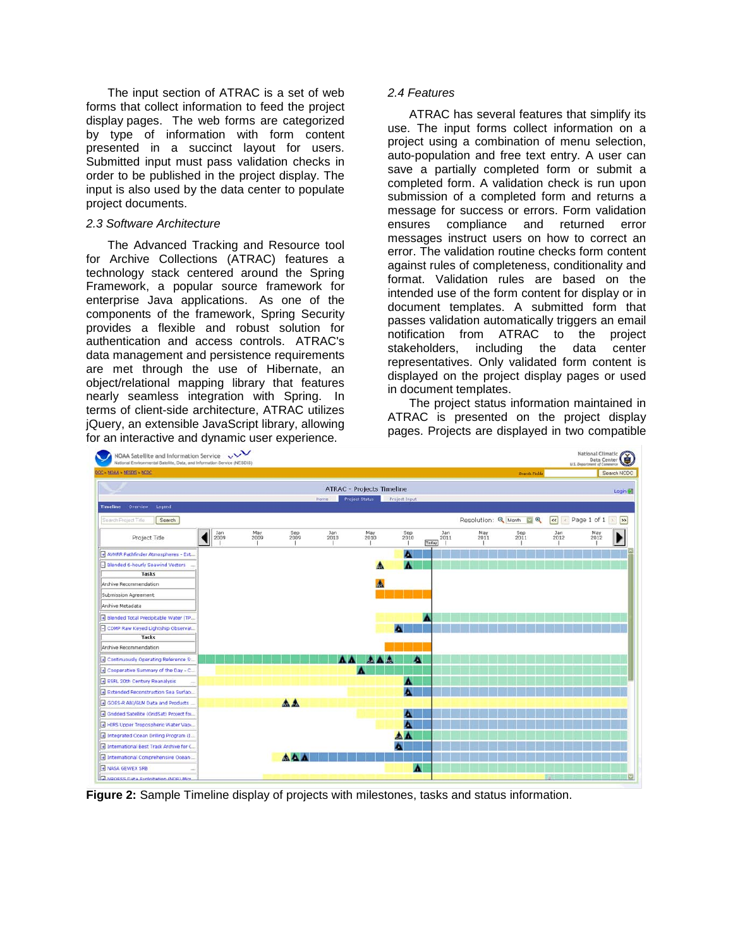The input section of ATRAC is a set of web forms that collect information to feed the project display pages. The web forms are categorized by type of information with form content presented in a succinct layout for users. Submitted input must pass validation checks in order to be published in the project display. The input is also used by the data center to populate project documents.

### *2.3 Software Architecture*

The Advanced Tracking and Resource tool for Archive Collections (ATRAC) features a technology stack centered around the Spring Framework, a popular source framework for enterprise Java applications. As one of the components of the framework, Spring Security provides a flexible and robust solution for authentication and access controls. ATRAC's data management and persistence requirements are met through the use of Hibernate, an object/relational mapping library that features nearly seamless integration with Spring. In terms of client-side architecture, ATRAC utilizes jQuery, an extensible JavaScript library, allowing for an interactive and dynamic user experience.

### *2.4 Features*

ATRAC has several features that simplify its use. The input forms collect information on a project using a combination of menu selection, auto-population and free text entry. A user can save a partially completed form or submit a completed form. A validation check is run upon submission of a completed form and returns a message for success or errors. Form validation ensures compliance and returned error messages instruct users on how to correct an error. The validation routine checks form content against rules of completeness, conditionality and format. Validation rules are based on the intended use of the form content for display or in document templates. A submitted form that passes validation automatically triggers an email notification from ATRAC to the project stakeholders, including the data center representatives. Only validated form content is displayed on the project display pages or used in document templates.

The project status information maintained in ATRAC is presented on the project display pages. Projects are displayed in two compatible



**Figure 2:** Sample Timeline display of projects with milestones, tasks and status information.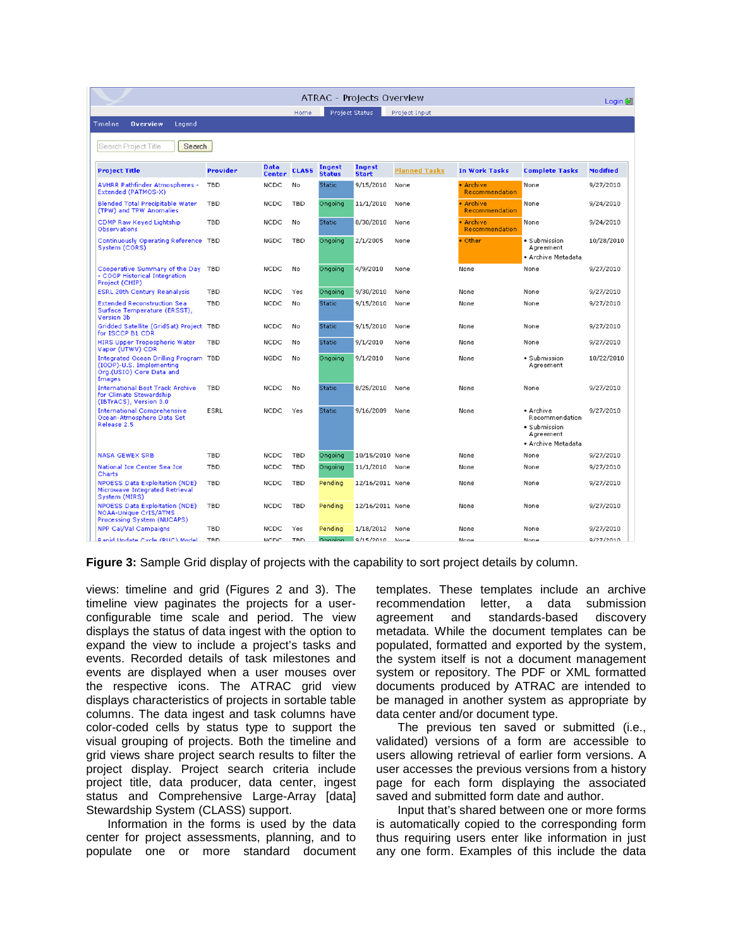| ATRAC - Projects Overview<br>Login <b>O</b>                                                             |             |                              |              |                                |                        |                      |                             |                                                                                |                 |
|---------------------------------------------------------------------------------------------------------|-------------|------------------------------|--------------|--------------------------------|------------------------|----------------------|-----------------------------|--------------------------------------------------------------------------------|-----------------|
|                                                                                                         |             |                              | Home         | <b>Project Status</b>          |                        | Project Input        |                             |                                                                                |                 |
| Timeline<br><b>Overview</b><br>Legend                                                                   |             |                              |              |                                |                        |                      |                             |                                                                                |                 |
| Search<br>Search Project Title                                                                          |             |                              |              |                                |                        |                      |                             |                                                                                |                 |
| <b>Project Title</b>                                                                                    | Provider    | <b>Data</b><br><b>Center</b> | <b>CLASS</b> | <b>Ingest</b><br><b>Status</b> | Ingest<br><b>Start</b> | <b>Planned Tasks</b> | <b>In Work Tasks</b>        | <b>Complete Tasks</b>                                                          | <b>Modified</b> |
| <b>AVHRR Pathfinder Atmospheres -</b><br>Extended (PATMOS-X)                                            | <b>TBD</b>  | <b>NCDC</b>                  | No           | <b>Static</b>                  | 9/15/2010              | None                 | • Archive<br>Recommendation | None                                                                           | 9/27/2010       |
| <b>Blended Total Precipitable Water</b><br>(TPW) and TPW Anomalies                                      | <b>TBD</b>  | <b>NCDC</b>                  | <b>TBD</b>   | Ongoing                        | 11/1/2010              | None                 | • Archive<br>Recommendation | None                                                                           | 9/24/2010       |
| CDMP Raw Keyed Lightship<br>Observations                                                                | <b>TBD</b>  | <b>NCDC</b>                  | No           | <b>Static</b>                  | 8/30/2010              | None                 | · Archive<br>Recommendation | None                                                                           | 9/24/2010       |
| Continuously Operating Reference TBD<br>System (CORS)                                                   |             | <b>NGDC</b>                  | TBD          | Ongoing                        | 2/1/2005               | None                 | • Other                     | · Submission<br>Agreement<br>• Archive Metadata                                | 10/28/2010      |
| Cooperative Summary of the Day<br>- COOP Historical Integration<br>Project (CHIP)                       | <b>TBD</b>  | <b>NCDC</b>                  | No           | Ongoing                        | 4/9/2010               | None                 | None                        | None                                                                           | 9/27/2010       |
| <b>ESRL 20th Century Reanalysis</b>                                                                     | <b>TBD</b>  | <b>NCDC</b>                  | Yes          | Ongoing                        | 9/30/2010              | None                 | None                        | None                                                                           | 9/27/2010       |
| <b>Extended Reconstruction Sea</b><br>Surface Temperature (ERSST),<br>Version 3b                        | <b>TBD</b>  | NCDC                         | No           | <b>Static</b>                  | 9/15/2010              | None                 | None                        | None                                                                           | 9/27/2010       |
| Gridded Satellite (GridSat) Project TBD<br>for ISCCP B1 CDR                                             |             | <b>NCDC</b>                  | No           | <b>Static</b>                  | 9/15/2010              | None                 | None                        | None                                                                           | 9/27/2010       |
| <b>HIRS Upper Tropospheric Water</b><br>Vapor (UTWV) CDR                                                | <b>TBD</b>  | <b>NCDC</b>                  | No           | <b>Static</b>                  | 9/1/2010               | None                 | None                        | None                                                                           | 9/27/2010       |
| Integrated Ocean Drilling Program TBD<br>(IODP)-U.S. Implementing<br>Org.(USIO) Core Data and<br>Images |             | NGDC                         | No           | Ongoing                        | 9/1/2010               | None                 | None                        | • Submission<br>Agreement                                                      | 10/22/2010      |
| <b>International Best Track Archive</b><br>for Climate Stewardship<br>(IBTrACS), Version 3.0            | TBD         | <b>NCDC</b>                  | No           | <b>Static</b>                  | 8/25/2010              | None                 | None                        | None                                                                           | 9/27/2010       |
| <b>International Comprehensive</b><br>Ocean-Atmosphere Data Set<br>Release 2.5                          | <b>ESRL</b> | <b>NCDC</b>                  | Yes          | <b>Static</b>                  | 9/16/2009              | None                 | None                        | • Archive<br>Recommendation<br>• Submission<br>Agreement<br>· Archive Metadata | 9/27/2010       |
| <b>NASA GEWEX SRB</b>                                                                                   | <b>TBD</b>  | <b>NCDC</b>                  | <b>TBD</b>   | Ongoing                        | 10/15/2010 None        |                      | None                        | None                                                                           | 9/27/2010       |
| National Ice Center Sea Ice<br>Charts                                                                   | <b>TBD</b>  | <b>NCDC</b>                  | <b>TBD</b>   | Ongoing                        | 11/1/2010              | None                 | None                        | None                                                                           | 9/27/2010       |
| <b>NPOESS Data Exploitation (NDE)</b><br>Microwave Integrated Retrieval<br>System (MIRS)                | <b>TBD</b>  | <b>NCDC</b>                  | <b>TBD</b>   | Pending                        | 12/16/2011 None        |                      | None                        | None                                                                           | 9/27/2010       |
| <b>NPOESS Data Exploitation (NDE)</b><br><b>NOAA-Unique CrIS/ATMS</b><br>Processing System (NUCAPS)     | <b>TBD</b>  | <b>NCDC</b>                  | <b>TBD</b>   | Pending                        | 12/16/2011 None        |                      | None                        | None                                                                           | 9/27/2010       |
| NPP Cal/Val Campaigns                                                                                   | <b>TBD</b>  | <b>NCDC</b>                  | Yes          | Pending                        | 1/18/2012              | None                 | None                        | None                                                                           | 9/27/2010       |
| Ranid Undate Cycle (RUC) Model                                                                          | <b>TRD</b>  | <b>NCDC</b>                  | <b>TRD</b>   | Ongoing -                      | 9/15/2010 None         |                      | None                        | None                                                                           | 9/27/2010       |

**Figure 3:** Sample Grid display of projects with the capability to sort project details by column.

views: timeline and grid (Figures 2 and 3). The timeline view paginates the projects for a userconfigurable time scale and period. The view displays the status of data ingest with the option to expand the view to include a project's tasks and events. Recorded details of task milestones and events are displayed when a user mouses over the respective icons. The ATRAC grid view displays characteristics of projects in sortable table columns. The data ingest and task columns have color-coded cells by status type to support the visual grouping of projects. Both the timeline and grid views share project search results to filter the project display. Project search criteria include project title, data producer, data center, ingest status and Comprehensive Large-Array [data] Stewardship System (CLASS) support.

Information in the forms is used by the data center for project assessments, planning, and to populate one or more standard document templates. These templates include an archive recommendation letter, a data submission agreement and standards-based discovery metadata. While the document templates can be populated, formatted and exported by the system, the system itself is not a document management system or repository. The PDF or XML formatted documents produced by ATRAC are intended to be managed in another system as appropriate by data center and/or document type.

The previous ten saved or submitted (i.e., validated) versions of a form are accessible to users allowing retrieval of earlier form versions. A user accesses the previous versions from a history page for each form displaying the associated saved and submitted form date and author.

Input that's shared between one or more forms is automatically copied to the corresponding form thus requiring users enter like information in just any one form. Examples of this include the data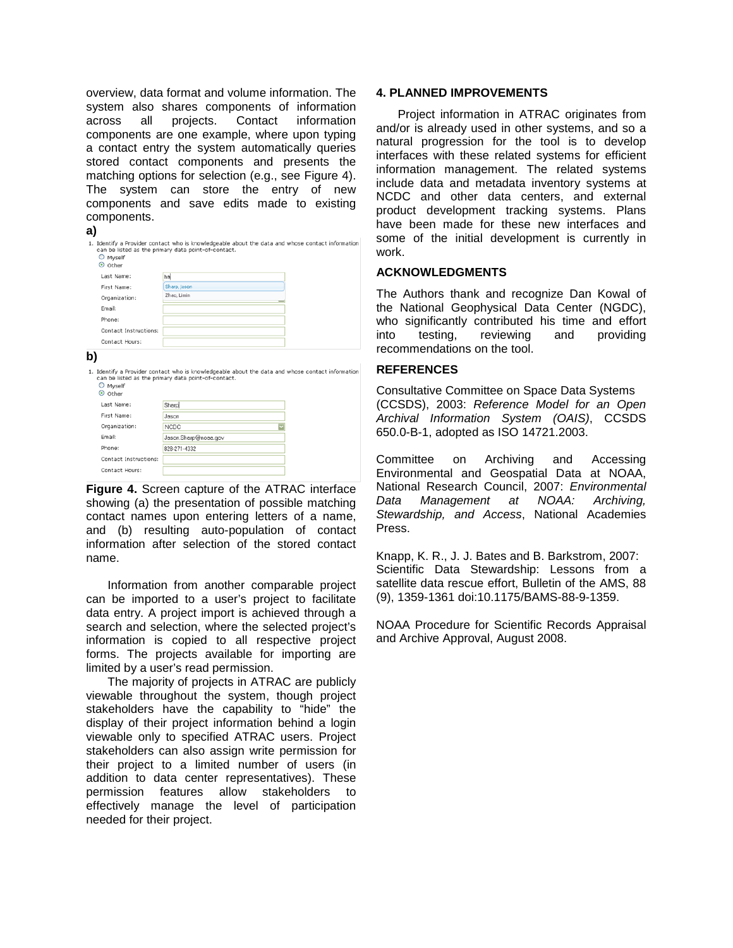overview, data format and volume information. The system also shares components of information across all projects. Contact information components are one example, where upon typing a contact entry the system automatically queries stored contact components and presents the matching options for selection (e.g., see Figure 4). The system can store the entry of new components and save edits made to existing components.

| I<br>× |  |
|--------|--|
|        |  |

name.

First Name:

Organization

Email:

Dhone

Jason

NCDC

000.071.4220

Jason.Sharp@noaa.gov

| O Myself<br>O Other   | 1. Identify a Provider contact who is knowledgeable about the data and whose contact information<br>can be listed as the primary data point-of-contact. |  |  |  |  |  |
|-----------------------|---------------------------------------------------------------------------------------------------------------------------------------------------------|--|--|--|--|--|
| Last Name:            | hal                                                                                                                                                     |  |  |  |  |  |
| First Name:           | Sharp, Jason                                                                                                                                            |  |  |  |  |  |
| Organization:         | Zhao, Limin                                                                                                                                             |  |  |  |  |  |
| Email:                |                                                                                                                                                         |  |  |  |  |  |
| Phone:                |                                                                                                                                                         |  |  |  |  |  |
| Contact Instructions: |                                                                                                                                                         |  |  |  |  |  |
| Contact Hours:        |                                                                                                                                                         |  |  |  |  |  |
| b)                    |                                                                                                                                                         |  |  |  |  |  |
| O Myself<br>O Other   | 1. Identify a Provider contact who is knowledgeable about the data and whose contact information<br>can be listed as the primary data point-of-contact. |  |  |  |  |  |
| Last Name:            | Sharp                                                                                                                                                   |  |  |  |  |  |

| Contact Instructions:                                  |  |  |
|--------------------------------------------------------|--|--|
| Contact Hours:                                         |  |  |
| <b>Figure 4.</b> Screen capture of the ATRAC interface |  |  |
| showing (a) the presentation of possible matching      |  |  |
|                                                        |  |  |
| contact names upon entering letters of a name,         |  |  |
| and (b) resulting auto-population of contact           |  |  |
| information after selection of the stored contact      |  |  |
|                                                        |  |  |

Information from another comparable project can be imported to a user's project to facilitate data entry. A project import is achieved through a search and selection, where the selected project's information is copied to all respective project forms. The projects available for importing are limited by a user's read permission.

The majority of projects in ATRAC are publicly viewable throughout the system, though project stakeholders have the capability to "hide" the display of their project information behind a login viewable only to specified ATRAC users. Project stakeholders can also assign write permission for their project to a limited number of users (in addition to data center representatives). These permission features allow stakeholders to effectively manage the level of participation needed for their project.

## **4. PLANNED IMPROVEMENTS**

Project information in ATRAC originates from and/or is already used in other systems, and so a natural progression for the tool is to develop interfaces with these related systems for efficient information management. The related systems include data and metadata inventory systems at NCDC and other data centers, and external product development tracking systems. Plans have been made for these new interfaces and some of the initial development is currently in work.

# **ACKNOWLEDGMENTS**

The Authors thank and recognize Dan Kowal of the National Geophysical Data Center (NGDC), who significantly contributed his time and effort into testing, reviewing and providing recommendations on the tool.

### **REFERENCES**

Consultative Committee on Space Data Systems (CCSDS), 2003: *Reference Model for an Open Archival Information System (OAIS)*, CCSDS 650.0-B-1, adopted as ISO 14721.2003.

Committee on Archiving and Accessing Environmental and Geospatial Data at NOAA, National Research Council, 2007: *Environmental Data Management at Stewardship, and Access*, National Academies Press.

Knapp, K. R., J. J. Bates and B. Barkstrom, 2007: Scientific Data Stewardship: Lessons from a satellite data rescue effort, Bulletin of the AMS, 88 (9), 1359-1361 doi:10.1175/BAMS-88-9-1359.

NOAA Procedure for Scientific Records Appraisal and Archive Approval, August 2008.